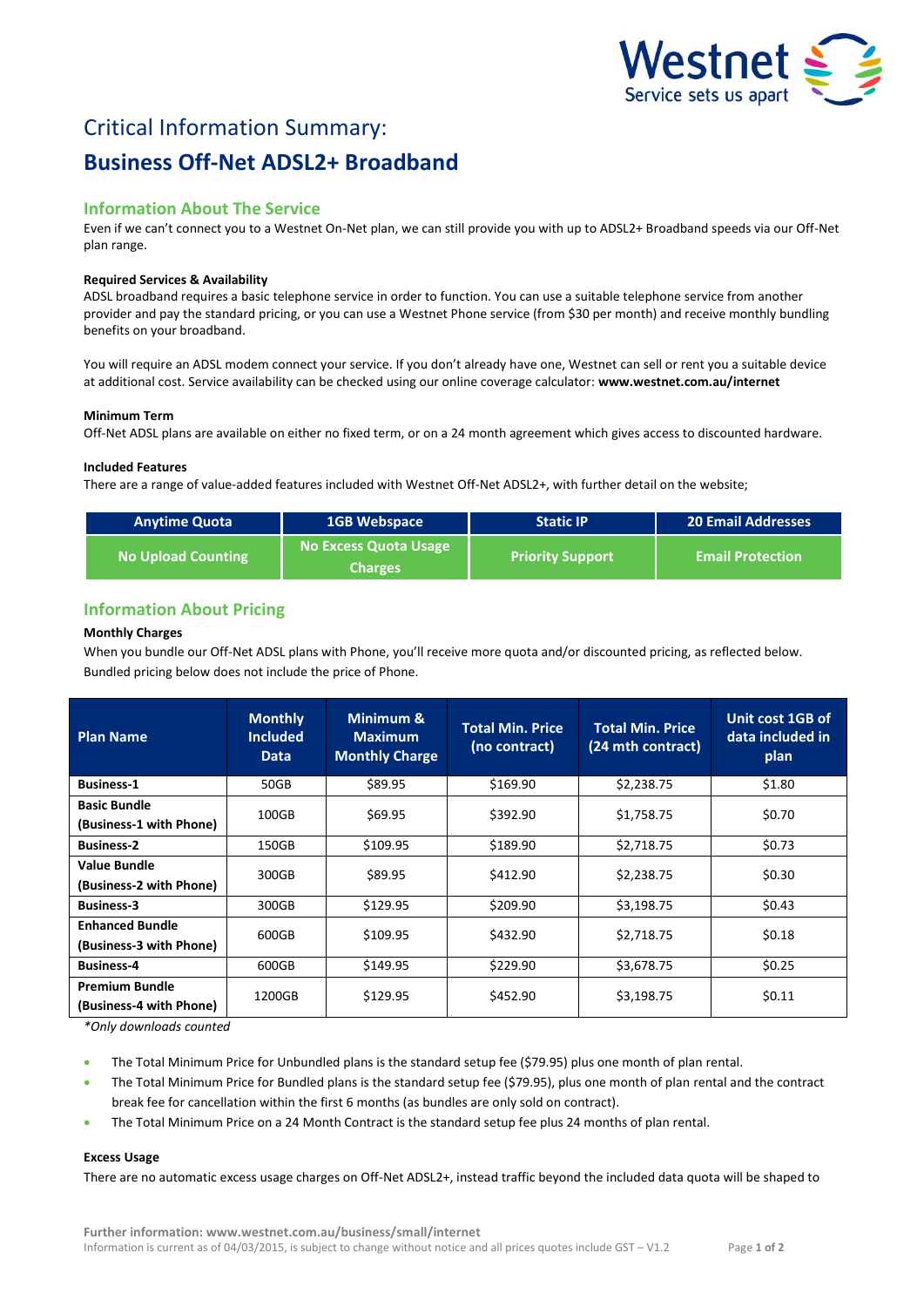

# Critical Information Summary: **Business Off-Net ADSL2+ Broadband**

# **Information About The Service**

Even if we can't connect you to a Westnet On-Net plan, we can still provide you with up to ADSL2+ Broadband speeds via our Off-Net plan range.

## **Required Services & Availability**

ADSL broadband requires a basic telephone service in order to function. You can use a suitable telephone service from another provider and pay the standard pricing, or you can use a Westnet Phone service (from \$30 per month) and receive monthly bundling benefits on your broadband.

You will require an ADSL modem connect your service. If you don't already have one, Westnet can sell or rent you a suitable device at additional cost. Service availability can be checked using our online coverage calculator: **www.westnet.com.au/internet**

#### **Minimum Term**

Off-Net ADSL plans are available on either no fixed term, or on a 24 month agreement which gives access to discounted hardware.

## **Included Features**

There are a range of value-added features included with Westnet Off-Net ADSL2+, with further detail on the website;

| <b>Anytime Quota</b>      | <b>1GB Webspace</b>                            | <b>Static IP</b>        | <b>20 Email Addresses</b> |  |
|---------------------------|------------------------------------------------|-------------------------|---------------------------|--|
| <b>No Upload Counting</b> | <b>No Excess Quota Usage</b><br><b>Charges</b> | <b>Priority Support</b> | <b>Email Protection</b>   |  |

# **Information About Pricing**

## **Monthly Charges**

When you bundle our Off-Net ADSL plans with Phone, you'll receive more quota and/or discounted pricing, as reflected below. Bundled pricing below does not include the price of Phone.

| <b>Plan Name</b>                                  | <b>Monthly</b><br><b>Included</b><br><b>Data</b> | Minimum &<br><b>Maximum</b><br><b>Monthly Charge</b> | <b>Total Min. Price</b><br>(no contract) | <b>Total Min. Price</b><br>(24 mth contract) | Unit cost 1GB of<br>data included in<br>plan |
|---------------------------------------------------|--------------------------------------------------|------------------------------------------------------|------------------------------------------|----------------------------------------------|----------------------------------------------|
| <b>Business-1</b>                                 | 50GB                                             | \$89.95                                              | \$169.90                                 | \$2,238.75                                   | \$1.80                                       |
| <b>Basic Bundle</b><br>(Business-1 with Phone)    | 100GB                                            | \$69.95                                              | \$392.90                                 | \$1,758.75                                   | \$0.70                                       |
| <b>Business-2</b>                                 | 150GB                                            | \$109.95                                             | \$189.90                                 | \$2,718.75                                   | \$0.73                                       |
| <b>Value Bundle</b><br>(Business-2 with Phone)    | 300GB                                            | \$89.95                                              | \$412.90                                 | \$2,238.75                                   | \$0.30                                       |
| <b>Business-3</b>                                 | 300GB                                            | \$129.95                                             | \$209.90                                 | \$3,198.75                                   | \$0.43                                       |
| <b>Enhanced Bundle</b><br>(Business-3 with Phone) | 600GB                                            | \$109.95                                             | \$432.90                                 | \$2,718.75                                   | \$0.18                                       |
| <b>Business-4</b>                                 | 600GB                                            | \$149.95                                             | \$229.90                                 | \$3,678.75                                   | \$0.25                                       |
| <b>Premium Bundle</b><br>(Business-4 with Phone)  | 1200GB                                           | \$129.95                                             | \$452.90                                 | \$3,198.75                                   | \$0.11                                       |

*\*Only downloads counted*

- The Total Minimum Price for Unbundled plans is the standard setup fee (\$79.95) plus one month of plan rental.
- The Total Minimum Price for Bundled plans is the standard setup fee (\$79.95), plus one month of plan rental and the contract break fee for cancellation within the first 6 months (as bundles are only sold on contract).
- The Total Minimum Price on a 24 Month Contract is the standard setup fee plus 24 months of plan rental.

# **Excess Usage**

There are no automatic excess usage charges on Off-Net ADSL2+, instead traffic beyond the included data quota will be shaped to